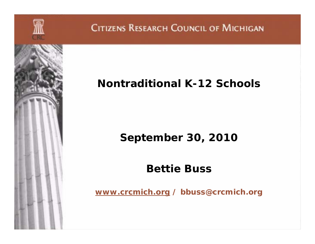

### **Nontraditional K-12 Schools**

### **September 30, 2010**

### **Bettie Buss**

*www.crcmich.org / bbuss@crcmich.org*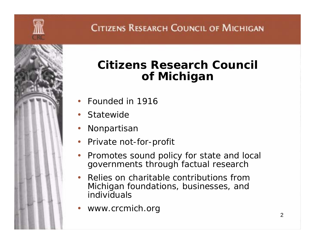

## **Citizens Research Council of Michigan**

- •Founded in 1916
- •**Statewide**
- $\bullet$ Nonpartisan
- $\bullet$ Private not-for-profit
- $\bullet$  Promotes sound policy for state and local governments through factual research
- $\bullet$  Relies on charitable contributions from Michigan foundations, businesses, and individuals
- •*www.crcmich.org*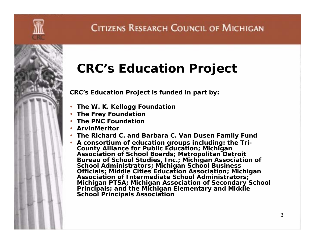

## **CRC's Education Project**

**CRC's Education Project is funded in part by:**

- **The W. K. Kellogg Foundation**
- **The Frey Foundation**
- **The PNC Foundation**
- **ArvinMeritor**
- **The Richard C. and Barbara C. Van Dusen Family Fund**
- **A consortium of education groups including: the Tri-County Alliance for Public Education; Michigan Association of School Boards; Metropolitan Detroit Bureau of School Studies, Inc.; Michigan Association of School Administrators; Michigan School Business Officials; Middle Cities Education Association; Michigan Association of Intermediate School Administrators; Michigan PTSA; Michigan Association of Secondary School Principals; and the Michigan Elementary and Middle School Principals Association**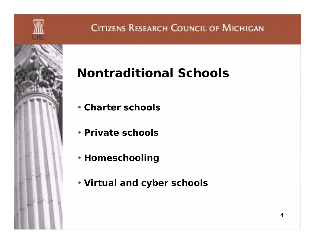

# **Nontraditional Schools**

- **Charter schools**
- **Private schools**
- **Homeschooling**
- **Virtual and cyber schools**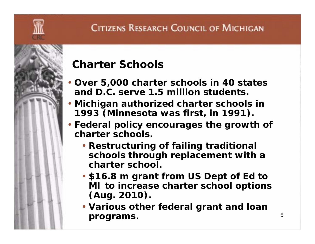#### **Charter Schools**

- • **Over 5,000 charter schools in 40 states and D.C. serve 1.5 million students.**
- **Michigan authorized charter schools in 1993 (Minnesota was first, in 1991).**
- **Federal policy encourages the growth of charter schools.** 
	- **Restructuring of failing traditional schools through replacement with a charter school.**
	- **\$16.8 m grant from US Dept of Ed to MI to increase charter school options (Aug. 2010).**
	- **Various other federal grant and loan programs.**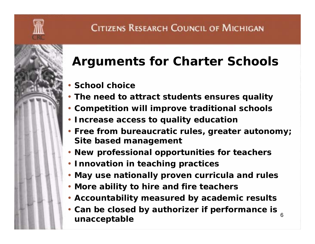

# **Arguments for Charter Schools**

- **School choice**
- **The need to attract students ensures quality**
- **Competition will improve traditional schools**
- **Increase access to quality education**
- **Free from bureaucratic rules, greater autonomy; Site based management**
- **New professional opportunities for teachers**
- **Innovation in teaching practices**
- **May use nationally proven curricula and rules**
- **More ability to hire and fire teachers**
- **Accountability measured by academic results**
- 6• **Can be closed by authorizer if performance is unacceptable**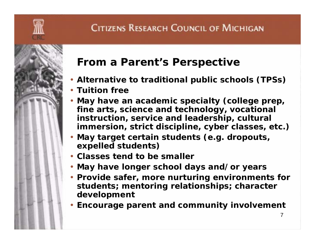#### **From a Parent's Perspective** • **Alternative to traditional public schools (TPSs)** • **Tuition free**• **May have an academic specialty (college prep, fine arts, science and technology, vocational instruction, service and leadership, cultural immersion, strict discipline, cyber classes, etc.)**

- • **May target certain students (e.g. dropouts, expelled students)**
- **Classes tend to be smaller**
- **May have longer school days and/or years**
- **Provide safer, more nurturing environments for students; mentoring relationships; character development**
- **Encourage parent and community involvement**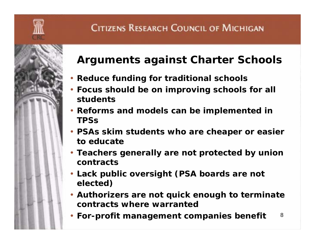

#### **Arguments against Charter Schools**

- **Reduce funding for traditional schools**
- **Focus should be on improving schools for all students**
- **Reforms and models can be implemented in TPSs**
- **PSAs skim students who are cheaper or easier to educate**
- **Teachers generally are not protected by union contracts**
- **Lack public oversight (PSA boards are not elected)**
- **Authorizers are not quick enough to terminate contracts where warranted**
- 8• **For-profit management companies benefit**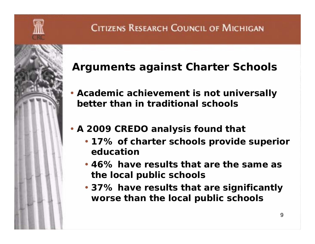

### **Arguments against Charter Schools**

- **Academic achievement is not universally better than in traditional schools**
- **A 2009 CREDO analysis found that** 
	- **17% of charter schools provide superior education**
	- **46% have results that are the same as the local public schools**
	- **37% have results that are significantly worse than the local public schools**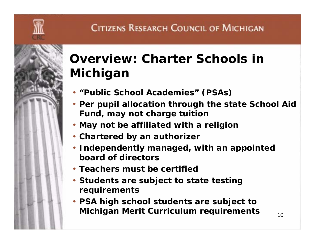

## **Overview: Charter Schools in Michigan**

- **"Public School Academies" (PSAs)**
- **Per pupil allocation through the state School Aid Fund, may not charge tuition**
- **May not be affiliated with a religion**
- **Chartered by an authorizer**
- **Independently managed, with an appointed board of directors**
- **Teachers must be certified**
- **Students are subject to state testing requirements**
- **PSA high school students are subject to Michigan Merit Curriculum requirements**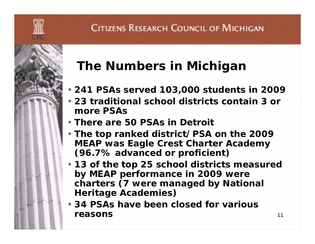# **The Numbers in Michigan**

- **241 PSAs served 103,000 students in 2009**
- **23 traditional school districts contain 3 or more PSAs**
- **There are 50 PSAs in Detroit**
- **The top ranked district/PSA on the 2009 MEAP was Eagle Crest Charter Academy (96.7% advanced or proficient)**
- **13 of the top 25 school districts measured by MEAP performance in 2009 were charters (7 were managed by National Heritage Academies)**
- **34 PSAs have been closed for various reasons**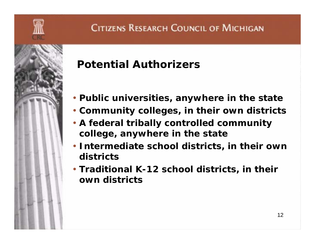

## **Potential Authorizers**

- **Public universities, anywhere in the state**
- **Community colleges, in their own districts**
- **A federal tribally controlled community college, anywhere in the state**
- **Intermediate school districts, in their own districts**
- **Traditional K-12 school districts, in their own districts**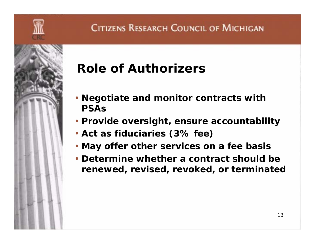

# **Role of Authorizers**

- **Negotiate and monitor contracts with PSAs**
- **Provide oversight, ensure accountability**
- **Act as fiduciaries (3% fee)**
- **May offer other services on a fee basis**
- **Determine whether a contract should be renewed, revised, revoked, or terminated**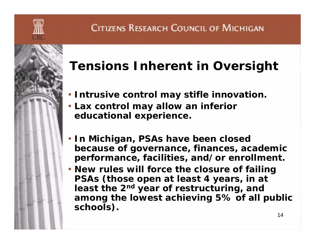

## **Tensions Inherent in Oversight**

- **Intrusive control may stifle innovation.**
- **Lax control may allow an inferior educational experience.**
- **In Michigan, PSAs have been closed because of governance, finances, academic performance, facilities, and/or enrollment.**
- **New rules will force the closure of failing PSAs (those open at least 4 years, in at least the 2n<sup>d</sup> year of restructuring, and among the lowest achieving 5% of all public schools).**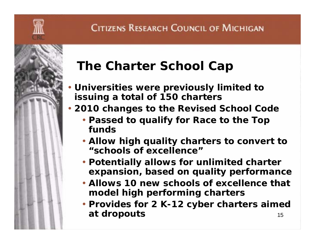

# **The Charter School Cap**

- **Universities were previously limited to issuing a total of 150 charters**
- **2010 changes to the Revised School Code**
	- **Passed to qualify for Race to the Top funds**
	- **Allow high quality charters to convert to "schools of excellence"**
	- **Potentially allows for unlimited charter expansion, based on quality performance**
	- **Allows 10 new schools of excellence that model high performing charters**
	- 15• **Provides for 2 K-12 cyber charters aimed at dropouts**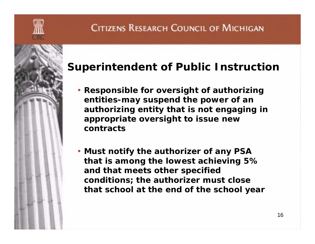

#### **Superintendent of Public Instruction**

- **Responsible for oversight of authorizing entities-may suspend the power of an authorizing entity that is not engaging in appropriate oversight to issue new contracts**
- **Must notify the authorizer of any PSA that is among the lowest achieving 5% and that meets other specified conditions; the authorizer must close that school at the end of the school year**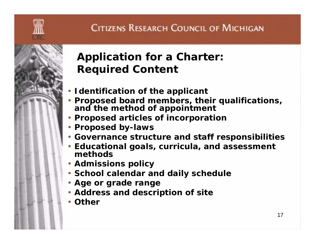

### **Application for a Charter: Required Content**

- **Identification of the applicant**
- **Proposed board members, their qualifications, and the method of appointment**
- **Proposed articles of incorporation**
- **Proposed by-laws**
- **Governance structure and staff responsibilities**
- **Educational goals, curricula, and assessment methods**
- **Admissions policy**
- **School calendar and daily schedule**
- **Age or grade range**
- **Address and description of site**
- **Other**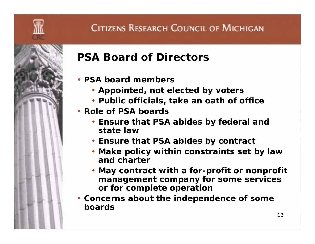## **PSA Board of Directors**

- **PSA board members**
	- **Appointed, not elected by voters**
	- **Public officials, take an oath of office**
- **Role of PSA boards**
	- **Ensure that PSA abides by federal and state law**
	- **Ensure that PSA abides by contract**
	- **Make policy within constraints set by law and charter**
	- **May contract with a for-profit or nonprofit management company for some services or for complete operation**
- **Concerns about the independence of some boards**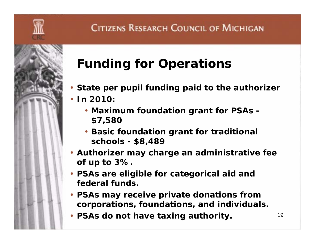

# **Funding for Operations**

- **State per pupil funding paid to the authorizer**
- **In 2010:** 
	- **Maximum foundation grant for PSAs - \$7,580**
	- **Basic foundation grant for traditional schools - \$8,489**
- **Authorizer may charge an administrative fee of up to 3%.**
- **PSAs are eligible for categorical aid and federal funds.**
- **PSAs may receive private donations from corporations, foundations, and individuals.**
- **PSAs do not have taxing authority.**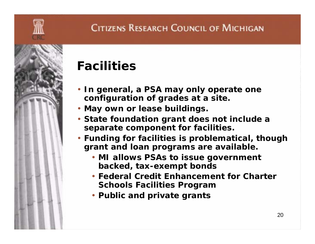

- **In general, a PSA may only operate one configuration of grades at a site.**
- **May own or lease buildings.**
- **State foundation grant does not include a separate component for facilities.**
- **Funding for facilities is problematical, though grant and loan programs are available.**
	- **MI allows PSAs to issue government backed, tax-exempt bonds**
	- **Federal Credit Enhancement for Charter Schools Facilities Program**
	- **Public and private grants**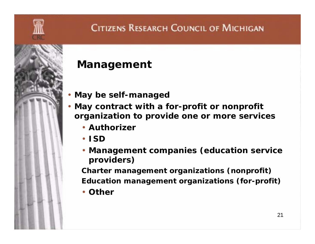

#### **Management**

- **May be self-managed**
- **May contract with a for-profit or nonprofit organization to provide one or more services** 
	- **Authorizer**
	- **ISD**
	- **Management companies (education service providers)**

**Charter management organizations (nonprofit) Education management organizations (for-profit)**

• **Other**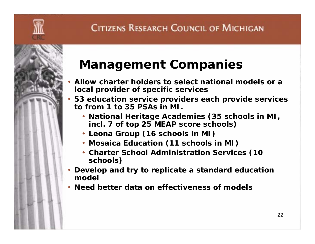## **Management Companies**

- • **Allow charter holders to select national models or a local provider of specific services**
- **53 education service providers each provide services to from 1 to 35 PSAs in MI.**
	- **National Heritage Academies (35 schools in MI, incl. 7 of top 25 MEAP score schools)**
	- **Leona Group (16 schools in MI)**
	- **Mosaica Education (11 schools in MI)**
	- **Charter School Administration Services (10 schools)**
- **Develop and try to replicate a standard education model**
- **Need better data on effectiveness of models**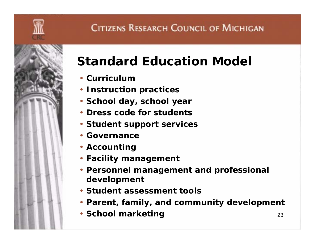

# **Standard Education Model**

- **Curriculum**
- **Instruction practices**
- **School day, school year**
- **Dress code for students**
- **Student support services**
- **Governance**
- **Accounting**
- **Facility management**
- **Personnel management and professional development**
- **Student assessment tools**
- **Parent, family, and community development**
- **School marketing**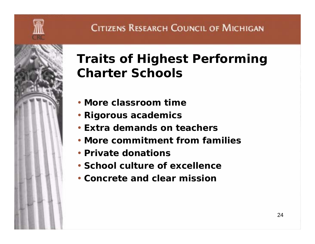

## **Traits of Highest Performing Charter Schools**

- **More classroom time**
- **Rigorous academics**
- **Extra demands on teachers**
- **More commitment from families**
- **Private donations**
- **School culture of excellence**
- **Concrete and clear mission**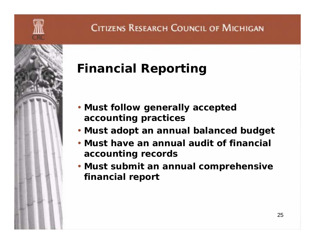

# **Financial Reporting**

- **Must follow generally accepted accounting practices**
- **Must adopt an annual balanced budget**
- **Must have an annual audit of financial accounting records**
- **Must submit an annual comprehensive financial report**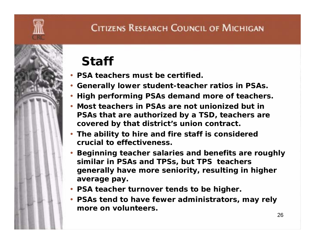# **Staff**

- **PSA teachers must be certified.**
- **Generally lower student-teacher ratios in PSAs.**
- **High performing PSAs demand more of teachers.**
- **Most teachers in PSAs are not unionized but in PSAs that are authorized by a TSD, teachers are covered by that district's union contract.**
- **The ability to hire and fire staff is considered crucial to effectiveness.**
- **Beginning teacher salaries and benefits are roughly similar in PSAs and TPSs, but TPS teachers generally have more seniority, resulting in higher average pay.**
- **PSA teacher turnover tends to be higher.**
- **PSAs tend to have fewer administrators, may rely more on volunteers.**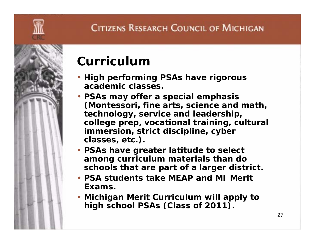

## **Curriculum**

- **High performing PSAs have rigorous academic classes.**
- **PSAs may offer a special emphasis (Montessori, fine arts, science and math, technology, service and leadership, college prep, vocational training, cultural immersion, strict discipline, cyber classes, etc.).**
- **PSAs have greater latitude to select among curriculum materials than do schools that are part of a larger district.**
- **PSA students take MEAP and MI Merit Exams.**
- **Michigan Merit Curriculum will apply to high school PSAs (Class of 2011).**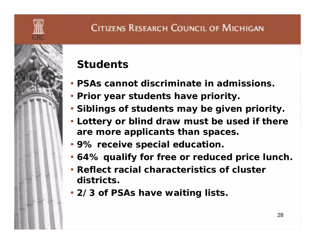### **Students**

- **PSAs cannot discriminate in admissions.**
- **Prior year students have priority.**
- **Siblings of students may be given priority.**
- **Lottery or blind draw must be used if there are more applicants than spaces.**
- **9% receive special education.**
- **64% qualify for free or reduced price lunch.**
- **Reflect racial characteristics of cluster districts.**
- **2/3 of PSAs have waiting lists.**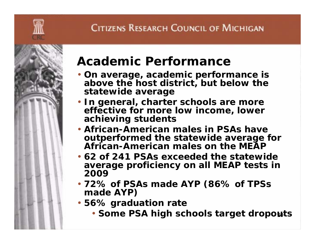

## **Academic Performance**

- **On average, academic performance is above the host district, but below the statewide average**
- **In general, charter schools are more effective for more low income, lower achieving students**
- **African-American males in PSAs have outperformed the statewide average for African-American males on the MEAP**
- **62 of 241 PSAs exceeded the statewide average proficiency on all MEAP tests in 2009**
- **72% of PSAs made AYP (86% of TPSs made AYP)**
- **56% graduation rate**
	- **Some PSA high schools target dropouts**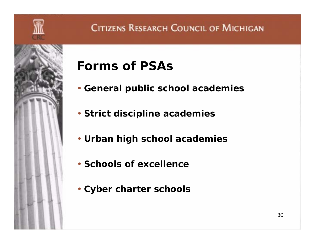

# **Forms of PSAs**

- **General public school academies**
- **Strict discipline academies**
- **Urban high school academies**
- **Schools of excellence**
- **Cyber charter schools**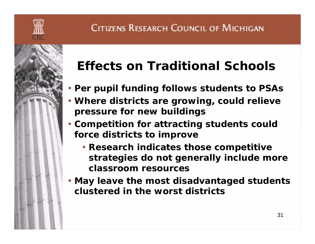

# **Effects on Traditional Schools**

- **Per pupil funding follows students to PSAs**
- **Where districts are growing, could relieve pressure for new buildings**
- **Competition for attracting students could force districts to improve**
	- **Research indicates those competitive strategies do not generally include more classroom resources**
- **May leave the most disadvantaged students clustered in the worst districts**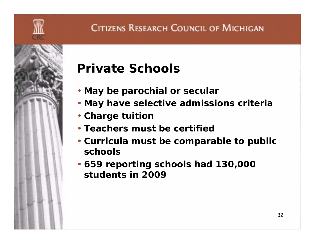

## **Private Schools**

- **May be parochial or secular**
- **May have selective admissions criteria**
- **Charge tuition**
- **Teachers must be certified**
- **Curricula must be comparable to public schools**
- **659 reporting schools had 130,000 students in 2009**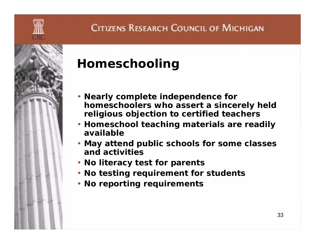

## **Homeschooling**

- **Nearly complete independence for homeschoolers who assert a sincerely held religious objection to certified teachers**
- **Homeschool teaching materials are readily available**
- **May attend public schools for some classes and activities**
- **No literacy test for parents**
- **No testing requirement for students**
- **No reporting requirements**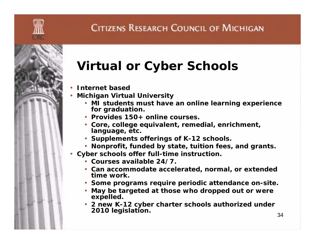# **Virtual or Cyber Schools**

- •**Internet based**
- • **Michigan Virtual University** 
	- **MI students must have an online learning experience for graduation.**
	- **Provides 150+ online courses.**
	- **Core, college equivalent, remedial, enrichment, language, etc.**
	- **Supplements offerings of K-12 schools.**
	- **Nonprofit, funded by state, tuition fees, and grants.**
- **Cyber schools offer full-time instruction.**
	- **Courses available 24/7.**
	- **Can accommodate accelerated, normal, or extended time work.**
	- **Some programs require periodic attendance on-site.**
	- **May be targeted at those who dropped out or were expelled.**
	- **2 new K-12 cyber charter schools authorized under 2010 legislation.**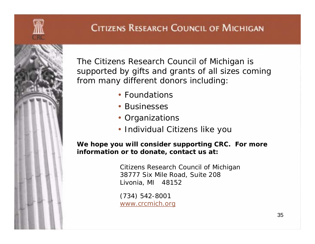

The Citizens Research Council of Michigan is supported by gifts and grants of all sizes coming from many different donors including:

- Foundations
- Businesses
- Organizations
- Individual Citizens like you

*We hope you will consider supporting CRC. For more information or to donate, contact us at:*

> Citizens Research Council of Michigan 38777 Six Mile Road, Suite 208 Livonia, MI 48152

(734) 542-8001 www.crcmich.org